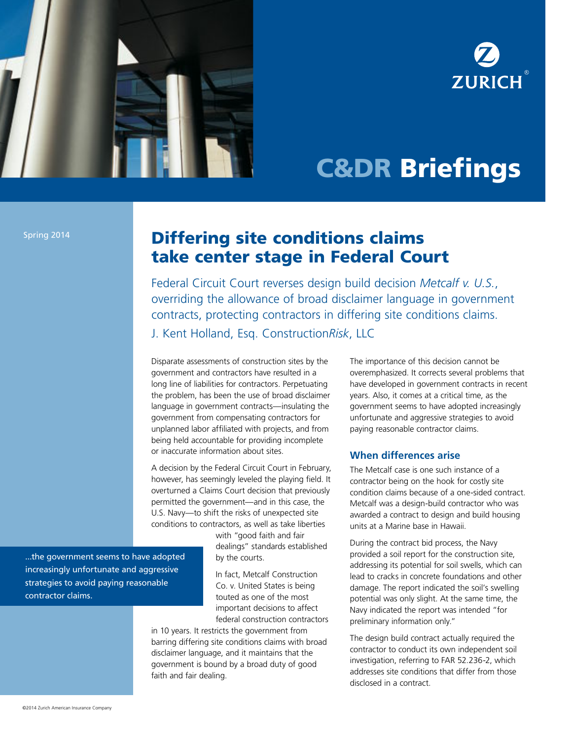

# **ZURICH**

## C&DR Briefings

Spring 2014

### Differing site conditions claims take center stage in Federal Court

Federal Circuit Court reverses design build decision *Metcalf v. U.S.*, overriding the allowance of broad disclaimer language in government contracts, protecting contractors in differing site conditions claims. J. Kent Holland, Esq. Construction*Risk*, LLC

Disparate assessments of construction sites by the

government and contractors have resulted in a long line of liabilities for contractors. Perpetuating the problem, has been the use of broad disclaimer language in government contracts—insulating the government from compensating contractors for unplanned labor affiliated with projects, and from being held accountable for providing incomplete or inaccurate information about sites.

A decision by the Federal Circuit Court in February, however, has seemingly leveled the playing field. It overturned a Claims Court decision that previously permitted the government—and in this case, the U.S. Navy—to shift the risks of unexpected site conditions to contractors, as well as take liberties

> with "good faith and fair dealings" standards established by the courts.

In fact, Metcalf Construction Co. v. United States is being touted as one of the most important decisions to affect federal construction contractors

in 10 years. It restricts the government from barring differing site conditions claims with broad disclaimer language, and it maintains that the government is bound by a broad duty of good faith and fair dealing.

The importance of this decision cannot be overemphasized. It corrects several problems that have developed in government contracts in recent years. Also, it comes at a critical time, as the government seems to have adopted increasingly unfortunate and aggressive strategies to avoid paying reasonable contractor claims.

#### **When differences arise**

The Metcalf case is one such instance of a contractor being on the hook for costly site condition claims because of a one-sided contract. Metcalf was a design-build contractor who was awarded a contract to design and build housing units at a Marine base in Hawaii.

During the contract bid process, the Navy provided a soil report for the construction site, addressing its potential for soil swells, which can lead to cracks in concrete foundations and other damage. The report indicated the soil's swelling potential was only slight. At the same time, the Navy indicated the report was intended "for preliminary information only."

The design build contract actually required the contractor to conduct its own independent soil investigation, referring to FAR 52.236-2, which addresses site conditions that differ from those disclosed in a contract.

...the government seems to have adopted increasingly unfortunate and aggressive strategies to avoid paying reasonable contractor claims.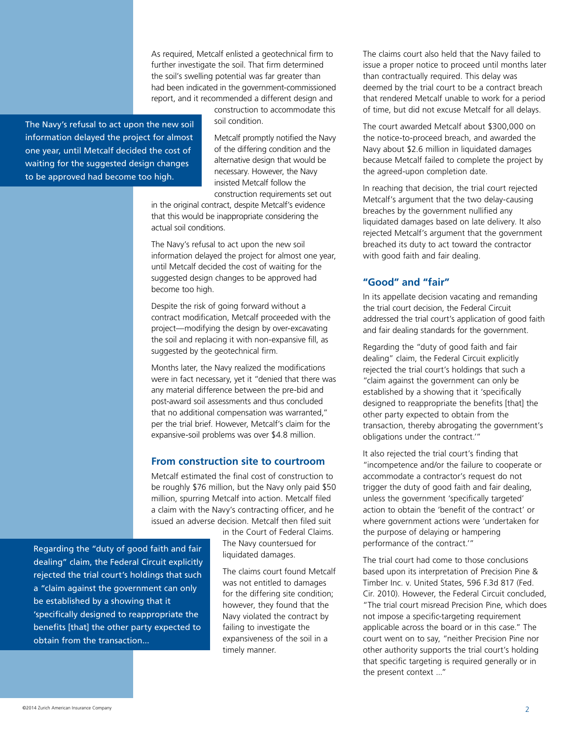As required, Metcalf enlisted a geotechnical firm to further investigate the soil. That firm determined the soil's swelling potential was far greater than had been indicated in the government-commissioned report, and it recommended a different design and

The Navy's refusal to act upon the new soil information delayed the project for almost one year, until Metcalf decided the cost of waiting for the suggested design changes to be approved had become too high.

construction to accommodate this soil condition.

Metcalf promptly notified the Navy of the differing condition and the alternative design that would be necessary. However, the Navy insisted Metcalf follow the construction requirements set out

in the original contract, despite Metcalf's evidence that this would be inappropriate considering the actual soil conditions.

The Navy's refusal to act upon the new soil information delayed the project for almost one year, until Metcalf decided the cost of waiting for the suggested design changes to be approved had become too high.

Despite the risk of going forward without a contract modification, Metcalf proceeded with the project—modifying the design by over-excavating the soil and replacing it with non-expansive fill, as suggested by the geotechnical firm.

Months later, the Navy realized the modifications were in fact necessary, yet it "denied that there was any material difference between the pre-bid and post-award soil assessments and thus concluded that no additional compensation was warranted," per the trial brief. However, Metcalf's claim for the expansive-soil problems was over \$4.8 million.

#### **From construction site to courtroom**

Metcalf estimated the final cost of construction to be roughly \$76 million, but the Navy only paid \$50 million, spurring Metcalf into action. Metcalf filed a claim with the Navy's contracting officer, and he issued an adverse decision. Metcalf then filed suit

Regarding the "duty of good faith and fair dealing" claim, the Federal Circuit explicitly rejected the trial court's holdings that such a "claim against the government can only be established by a showing that it 'specifically designed to reappropriate the benefits [that] the other party expected to obtain from the transaction...

in the Court of Federal Claims. The Navy countersued for liquidated damages.

The claims court found Metcalf was not entitled to damages for the differing site condition; however, they found that the Navy violated the contract by failing to investigate the expansiveness of the soil in a timely manner.

The claims court also held that the Navy failed to issue a proper notice to proceed until months later than contractually required. This delay was deemed by the trial court to be a contract breach that rendered Metcalf unable to work for a period of time, but did not excuse Metcalf for all delays.

The court awarded Metcalf about \$300,000 on the notice-to-proceed breach, and awarded the Navy about \$2.6 million in liquidated damages because Metcalf failed to complete the project by the agreed-upon completion date.

In reaching that decision, the trial court rejected Metcalf's argument that the two delay-causing breaches by the government nullified any liquidated damages based on late delivery. It also rejected Metcalf's argument that the government breached its duty to act toward the contractor with good faith and fair dealing.

#### **"Good" and "fair"**

In its appellate decision vacating and remanding the trial court decision, the Federal Circuit addressed the trial court's application of good faith and fair dealing standards for the government.

Regarding the "duty of good faith and fair dealing" claim, the Federal Circuit explicitly rejected the trial court's holdings that such a "claim against the government can only be established by a showing that it 'specifically designed to reappropriate the benefits [that] the other party expected to obtain from the transaction, thereby abrogating the government's obligations under the contract.'"

It also rejected the trial court's finding that "incompetence and/or the failure to cooperate or accommodate a contractor's request do not trigger the duty of good faith and fair dealing, unless the government 'specifically targeted' action to obtain the 'benefit of the contract' or where government actions were 'undertaken for the purpose of delaying or hampering performance of the contract.'"

The trial court had come to those conclusions based upon its interpretation of Precision Pine & Timber Inc. v. United States, 596 F.3d 817 (Fed. Cir. 2010). However, the Federal Circuit concluded, "The trial court misread Precision Pine, which does not impose a specific-targeting requirement applicable across the board or in this case." The court went on to say, "neither Precision Pine nor other authority supports the trial court's holding that specific targeting is required generally or in the present context ..."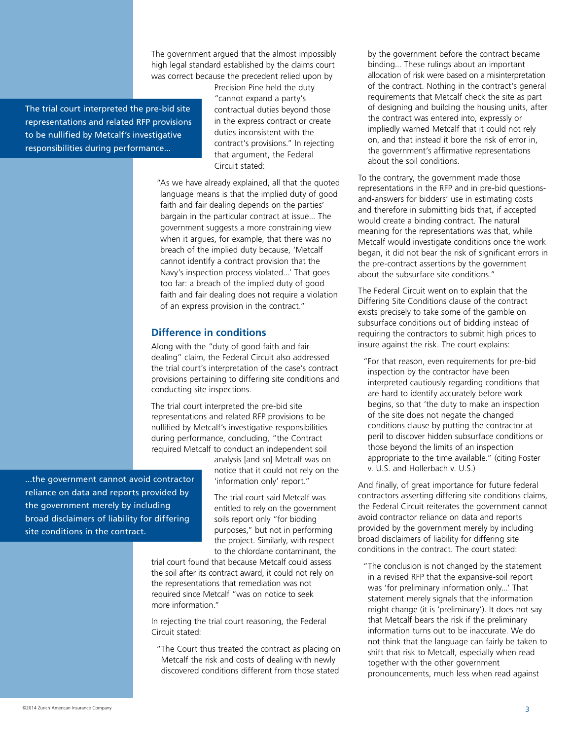The government argued that the almost impossibly high legal standard established by the claims court was correct because the precedent relied upon by

The trial court interpreted the pre-bid site representations and related RFP provisions to be nullified by Metcalf's investigative responsibilities during performance...

Precision Pine held the duty "cannot expand a party's contractual duties beyond those in the express contract or create duties inconsistent with the contract's provisions." In rejecting that argument, the Federal Circuit stated:

 "As we have already explained, all that the quoted language means is that the implied duty of good faith and fair dealing depends on the parties' bargain in the particular contract at issue... The government suggests a more constraining view when it argues, for example, that there was no breach of the implied duty because, 'Metcalf cannot identify a contract provision that the Navy's inspection process violated...' That goes too far: a breach of the implied duty of good faith and fair dealing does not require a violation of an express provision in the contract."

#### **Difference in conditions**

Along with the "duty of good faith and fair dealing" claim, the Federal Circuit also addressed the trial court's interpretation of the case's contract provisions pertaining to differing site conditions and conducting site inspections.

The trial court interpreted the pre-bid site representations and related RFP provisions to be nullified by Metcalf's investigative responsibilities during performance, concluding, "the Contract required Metcalf to conduct an independent soil

analysis [and so] Metcalf was on notice that it could not rely on the 'information only' report."

The trial court said Metcalf was entitled to rely on the government soils report only "for bidding purposes," but not in performing the project. Similarly, with respect to the chlordane contaminant, the

trial court found that because Metcalf could assess the soil after its contract award, it could not rely on the representations that remediation was not required since Metcalf "was on notice to seek more information."

In rejecting the trial court reasoning, the Federal Circuit stated:

 "The Court thus treated the contract as placing on Metcalf the risk and costs of dealing with newly discovered conditions different from those stated

by the government before the contract became binding... These rulings about an important allocation of risk were based on a misinterpretation of the contract. Nothing in the contract's general requirements that Metcalf check the site as part of designing and building the housing units, after the contract was entered into, expressly or impliedly warned Metcalf that it could not rely on, and that instead it bore the risk of error in, the government's affirmative representations about the soil conditions.

To the contrary, the government made those representations in the RFP and in pre-bid questionsand-answers for bidders' use in estimating costs and therefore in submitting bids that, if accepted would create a binding contract. The natural meaning for the representations was that, while Metcalf would investigate conditions once the work began, it did not bear the risk of significant errors in the pre-contract assertions by the government about the subsurface site conditions."

The Federal Circuit went on to explain that the Differing Site Conditions clause of the contract exists precisely to take some of the gamble on subsurface conditions out of bidding instead of requiring the contractors to submit high prices to insure against the risk. The court explains:

 "For that reason, even requirements for pre-bid inspection by the contractor have been interpreted cautiously regarding conditions that are hard to identify accurately before work begins, so that 'the duty to make an inspection of the site does not negate the changed conditions clause by putting the contractor at peril to discover hidden subsurface conditions or those beyond the limits of an inspection appropriate to the time available." (citing Foster v. U.S. and Hollerbach v. U.S.)

And finally, of great importance for future federal contractors asserting differing site conditions claims, the Federal Circuit reiterates the government cannot avoid contractor reliance on data and reports provided by the government merely by including broad disclaimers of liability for differing site conditions in the contract. The court stated:

 "The conclusion is not changed by the statement in a revised RFP that the expansive-soil report was 'for preliminary information only...' That statement merely signals that the information might change (it is 'preliminary'). It does not say that Metcalf bears the risk if the preliminary information turns out to be inaccurate. We do not think that the language can fairly be taken to shift that risk to Metcalf, especially when read together with the other government pronouncements, much less when read against

...the government cannot avoid contractor reliance on data and reports provided by the government merely by including broad disclaimers of liability for differing site conditions in the contract.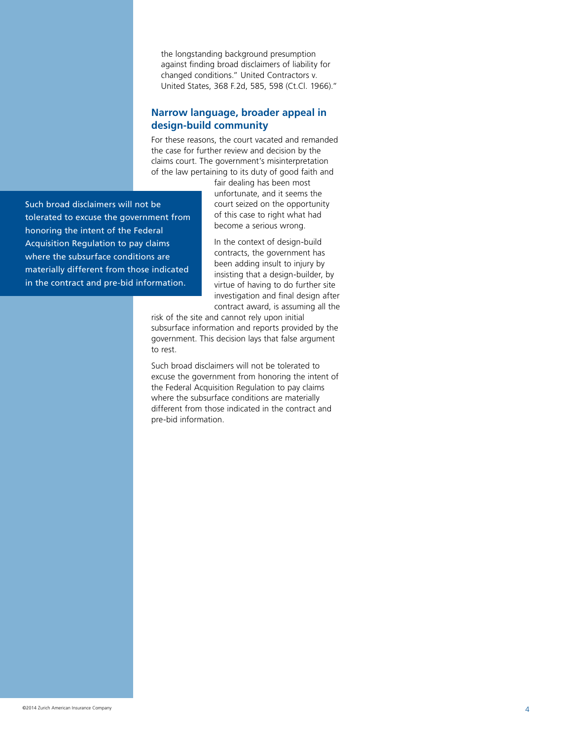the longstanding background presumption against finding broad disclaimers of liability for changed conditions." United Contractors v. United States, 368 F.2d, 585, 598 (Ct.Cl. 1966)."

#### **Narrow language, broader appeal in design-build community**

For these reasons, the court vacated and remanded the case for further review and decision by the claims court. The government's misinterpretation of the law pertaining to its duty of good faith and

Such broad disclaimers will not be tolerated to excuse the government from honoring the intent of the Federal Acquisition Regulation to pay claims where the subsurface conditions are materially different from those indicated in the contract and pre-bid information.

fair dealing has been most unfortunate, and it seems the court seized on the opportunity of this case to right what had become a serious wrong.

In the context of design-build contracts, the government has been adding insult to injury by insisting that a design-builder, by virtue of having to do further site investigation and final design after contract award, is assuming all the

risk of the site and cannot rely upon initial subsurface information and reports provided by the government. This decision lays that false argument to rest.

Such broad disclaimers will not be tolerated to excuse the government from honoring the intent of the Federal Acquisition Regulation to pay claims where the subsurface conditions are materially different from those indicated in the contract and pre-bid information.